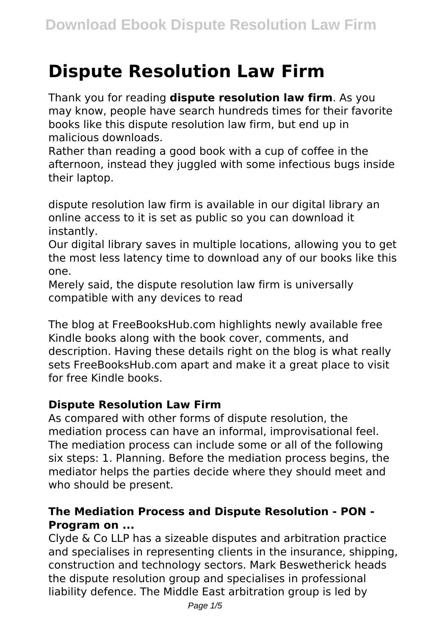# **Dispute Resolution Law Firm**

Thank you for reading **dispute resolution law firm**. As you may know, people have search hundreds times for their favorite books like this dispute resolution law firm, but end up in malicious downloads.

Rather than reading a good book with a cup of coffee in the afternoon, instead they juggled with some infectious bugs inside their laptop.

dispute resolution law firm is available in our digital library an online access to it is set as public so you can download it instantly.

Our digital library saves in multiple locations, allowing you to get the most less latency time to download any of our books like this one.

Merely said, the dispute resolution law firm is universally compatible with any devices to read

The blog at FreeBooksHub.com highlights newly available free Kindle books along with the book cover, comments, and description. Having these details right on the blog is what really sets FreeBooksHub.com apart and make it a great place to visit for free Kindle books.

# **Dispute Resolution Law Firm**

As compared with other forms of dispute resolution, the mediation process can have an informal, improvisational feel. The mediation process can include some or all of the following six steps: 1. Planning. Before the mediation process begins, the mediator helps the parties decide where they should meet and who should be present.

# **The Mediation Process and Dispute Resolution - PON - Program on ...**

Clyde & Co LLP has a sizeable disputes and arbitration practice and specialises in representing clients in the insurance, shipping, construction and technology sectors. Mark Beswetherick heads the dispute resolution group and specialises in professional liability defence. The Middle East arbitration group is led by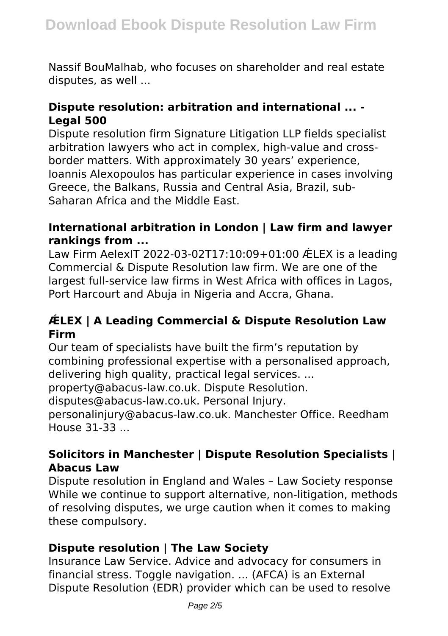Nassif BouMalhab, who focuses on shareholder and real estate disputes, as well ...

# **Dispute resolution: arbitration and international ... - Legal 500**

Dispute resolution firm Signature Litigation LLP fields specialist arbitration lawyers who act in complex, high-value and crossborder matters. With approximately 30 years' experience, Ioannis Alexopoulos has particular experience in cases involving Greece, the Balkans, Russia and Central Asia, Brazil, sub-Saharan Africa and the Middle East.

# **International arbitration in London | Law firm and lawyer rankings from ...**

Law Firm AelexIT 2022-03-02T17:10:09+01:00 ǼLEX is a leading Commercial & Dispute Resolution law firm. We are one of the largest full-service law firms in West Africa with offices in Lagos, Port Harcourt and Abuja in Nigeria and Accra, Ghana.

# **ǼLEX | A Leading Commercial & Dispute Resolution Law Firm**

Our team of specialists have built the firm's reputation by combining professional expertise with a personalised approach, delivering high quality, practical legal services. ...

property@abacus-law.co.uk. Dispute Resolution.

disputes@abacus-law.co.uk. Personal Injury.

personalinjury@abacus-law.co.uk. Manchester Office. Reedham House 31-33 ...

# **Solicitors in Manchester | Dispute Resolution Specialists | Abacus Law**

Dispute resolution in England and Wales – Law Society response While we continue to support alternative, non-litigation, methods of resolving disputes, we urge caution when it comes to making these compulsory.

# **Dispute resolution | The Law Society**

Insurance Law Service. Advice and advocacy for consumers in financial stress. Toggle navigation. ... (AFCA) is an External Dispute Resolution (EDR) provider which can be used to resolve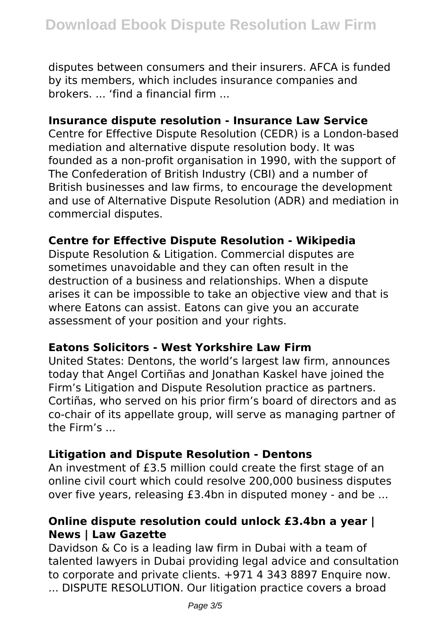disputes between consumers and their insurers. AFCA is funded by its members, which includes insurance companies and brokers. ... 'find a financial firm ...

# **Insurance dispute resolution - Insurance Law Service**

Centre for Effective Dispute Resolution (CEDR) is a London-based mediation and alternative dispute resolution body. It was founded as a non-profit organisation in 1990, with the support of The Confederation of British Industry (CBI) and a number of British businesses and law firms, to encourage the development and use of Alternative Dispute Resolution (ADR) and mediation in commercial disputes.

# **Centre for Effective Dispute Resolution - Wikipedia**

Dispute Resolution & Litigation. Commercial disputes are sometimes unavoidable and they can often result in the destruction of a business and relationships. When a dispute arises it can be impossible to take an objective view and that is where Eatons can assist. Eatons can give you an accurate assessment of your position and your rights.

#### **Eatons Solicitors - West Yorkshire Law Firm**

United States: Dentons, the world's largest law firm, announces today that Angel Cortiñas and Jonathan Kaskel have joined the Firm's Litigation and Dispute Resolution practice as partners. Cortiñas, who served on his prior firm's board of directors and as co-chair of its appellate group, will serve as managing partner of the Firm's ...

# **Litigation and Dispute Resolution - Dentons**

An investment of £3.5 million could create the first stage of an online civil court which could resolve 200,000 business disputes over five years, releasing £3.4bn in disputed money - and be ...

# **Online dispute resolution could unlock £3.4bn a year | News | Law Gazette**

Davidson & Co is a leading law firm in Dubai with a team of talented lawyers in Dubai providing legal advice and consultation to corporate and private clients. +971 4 343 8897 Enquire now. ... DISPUTE RESOLUTION. Our litigation practice covers a broad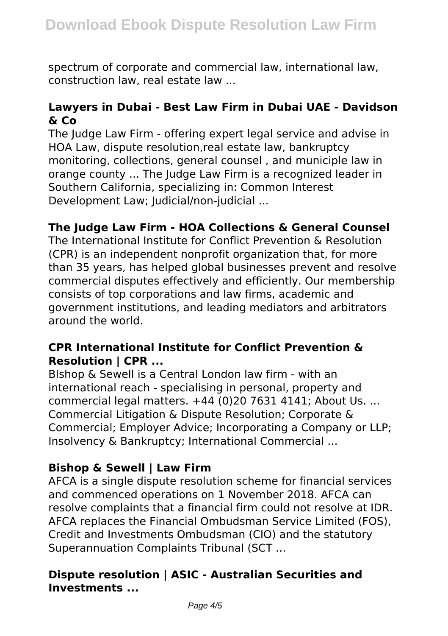spectrum of corporate and commercial law, international law, construction law, real estate law ...

# **Lawyers in Dubai - Best Law Firm in Dubai UAE - Davidson & Co**

The Judge Law Firm - offering expert legal service and advise in HOA Law, dispute resolution,real estate law, bankruptcy monitoring, collections, general counsel , and municiple law in orange county ... The Judge Law Firm is a recognized leader in Southern California, specializing in: Common Interest Development Law; Judicial/non-judicial ...

# **The Judge Law Firm - HOA Collections & General Counsel**

The International Institute for Conflict Prevention & Resolution (CPR) is an independent nonprofit organization that, for more than 35 years, has helped global businesses prevent and resolve commercial disputes effectively and efficiently. Our membership consists of top corporations and law firms, academic and government institutions, and leading mediators and arbitrators around the world.

# **CPR International Institute for Conflict Prevention & Resolution | CPR ...**

BIshop & Sewell is a Central London law firm - with an international reach - specialising in personal, property and commercial legal matters. +44 (0)20 7631 4141; About Us. ... Commercial Litigation & Dispute Resolution; Corporate & Commercial; Employer Advice; Incorporating a Company or LLP; Insolvency & Bankruptcy; International Commercial ...

# **Bishop & Sewell | Law Firm**

AFCA is a single dispute resolution scheme for financial services and commenced operations on 1 November 2018. AFCA can resolve complaints that a financial firm could not resolve at IDR. AFCA replaces the Financial Ombudsman Service Limited (FOS), Credit and Investments Ombudsman (CIO) and the statutory Superannuation Complaints Tribunal (SCT ...

# **Dispute resolution | ASIC - Australian Securities and Investments ...**